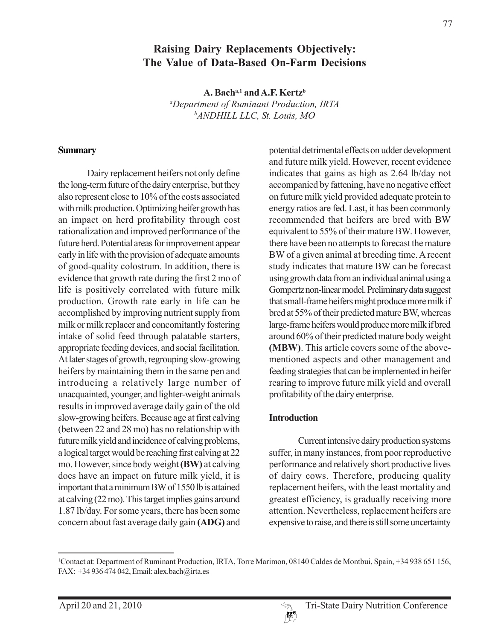# **Raising Dairy Replacements Objectively: The Value of Data-Based On-Farm Decisions**

A. Bach<sup>a,1</sup> and A.F. Kertz<sup>b</sup> *a Department of Ruminant Production, IRTA b ANDHILL LLC, St. Louis, MO*

#### **Summary**

Dairy replacement heifers not only define the long-term future of the dairy enterprise, but they also represent close to 10% of the costs associated with milk production. Optimizing heifer growth has an impact on herd profitability through cost rationalization and improved performance of the future herd. Potential areas for improvement appear early in life with the provision of adequate amounts of good-quality colostrum. In addition, there is evidence that growth rate during the first 2 mo of life is positively correlated with future milk production. Growth rate early in life can be accomplished by improving nutrient supply from milk or milk replacer and concomitantly fostering intake of solid feed through palatable starters, appropriate feeding devices, and social facilitation. At later stages of growth, regrouping slow-growing heifers by maintaining them in the same pen and introducing a relatively large number of unacquainted, younger, and lighter-weight animals results in improved average daily gain of the old slow-growing heifers. Because age at first calving (between 22 and 28 mo) has no relationship with future milk yield and incidence of calving problems, a logical target would be reaching first calving at 22 mo. However, since body weight **(BW)** at calving does have an impact on future milk yield, it is important that a minimum BW of 1550 lb is attained at calving (22 mo). This target implies gains around 1.87 lb/day. For some years, there has been some concern about fast average daily gain **(ADG)** and

potential detrimental effects on udder development and future milk yield. However, recent evidence indicates that gains as high as 2.64 lb/day not accompanied by fattening, have no negative effect on future milk yield provided adequate protein to energy ratios are fed. Last, it has been commonly recommended that heifers are bred with BW equivalent to 55% of their mature BW. However, there have been no attempts to forecast the mature BW of a given animal at breeding time. A recent study indicates that mature BW can be forecast using growth data from an individual animal using a Gompertz non-linear model. Preliminary data suggest that small-frame heifers might produce more milk if bred at 55% of their predicted mature BW, whereas large-frame heifers would produce more milk if bred around 60% of their predicted mature body weight **(MBW)**. This article covers some of the abovementioned aspects and other management and feeding strategies that can be implemented in heifer rearing to improve future milk yield and overall profitability of the dairy enterprise.

#### **Introduction**

Current intensive dairy production systems suffer, in many instances, from poor reproductive performance and relatively short productive lives of dairy cows. Therefore, producing quality replacement heifers, with the least mortality and greatest efficiency, is gradually receiving more attention. Nevertheless, replacement heifers are expensive to raise, and there is still some uncertainty

<sup>1</sup> Contact at: Department of Ruminant Production, IRTA, Torre Marimon, 08140 Caldes de Montbui, Spain, +34 938 651 156, FAX: +34 936 474 042, Email: alex.bach@irta.es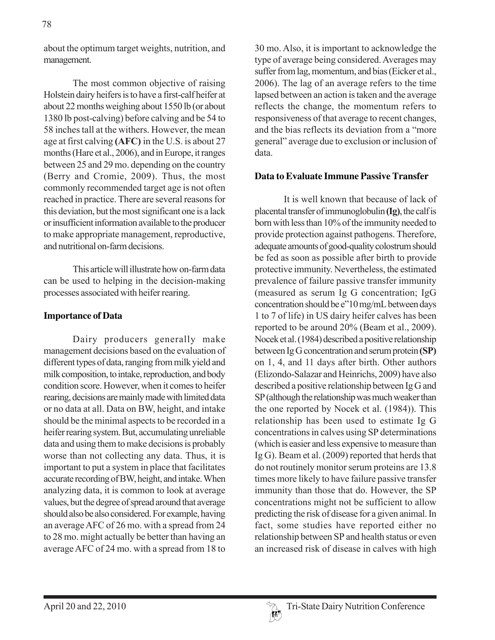about the optimum target weights, nutrition, and management.

The most common objective of raising Holstein dairy heifers is to have a first-calf heifer at about 22 months weighing about 1550 lb (or about 1380 lb post-calving) before calving and be 54 to 58 inches tall at the withers. However, the mean age at first calving **(AFC)** in the U.S. is about 27 months (Hare et al., 2006), and in Europe, it ranges between 25 and 29 mo. depending on the country (Berry and Cromie, 2009). Thus, the most commonly recommended target age is not often reached in practice. There are several reasons for this deviation, but the most significant one is a lack or insufficient information available to the producer to make appropriate management, reproductive, and nutritional on-farm decisions.

This article will illustrate how on-farm data can be used to helping in the decision-making processes associated with heifer rearing.

### **Importance of Data**

Dairy producers generally make management decisions based on the evaluation of different types of data, ranging from milk yield and milk composition, to intake, reproduction, and body condition score. However, when it comes to heifer rearing, decisions are mainly made with limited data or no data at all. Data on BW, height, and intake should be the minimal aspects to be recorded in a heifer rearing system. But, accumulating unreliable data and using them to make decisions is probably worse than not collecting any data. Thus, it is important to put a system in place that facilitates accurate recording of BW, height, and intake. When analyzing data, it is common to look at average values, but the degree of spread around that average should also be also considered. For example, having an average AFC of 26 mo. with a spread from 24 to 28 mo. might actually be better than having an average AFC of 24 mo. with a spread from 18 to

30 mo. Also, it is important to acknowledge the type of average being considered. Averages may suffer from lag, momentum, and bias (Eicker et al., 2006). The lag of an average refers to the time lapsed between an action is taken and the average reflects the change, the momentum refers to responsiveness of that average to recent changes, and the bias reflects its deviation from a "more general" average due to exclusion or inclusion of data.

### **Data to Evaluate Immune Passive Transfer**

It is well known that because of lack of placental transfer of immunoglobulin **(Ig)**, the calf is born with less than 10% of the immunity needed to provide protection against pathogens. Therefore, adequate amounts of good-quality colostrum should be fed as soon as possible after birth to provide protective immunity. Nevertheless, the estimated prevalence of failure passive transfer immunity (measured as serum Ig G concentration; IgG concentration should be e"10 mg/mL between days 1 to 7 of life) in US dairy heifer calves has been reported to be around 20% (Beam et al., 2009). Nocek et al. (1984) described a positive relationship between Ig G concentration and serum protein **(SP)** on 1, 4, and 11 days after birth. Other authors (Elizondo-Salazar and Heinrichs, 2009) have also described a positive relationship between Ig G and SP (although the relationship was much weaker than the one reported by Nocek et al. (1984)). This relationship has been used to estimate Ig G concentrations in calves using SP determinations (which is easier and less expensive to measure than Ig G). Beam et al. (2009) reported that herds that do not routinely monitor serum proteins are 13.8 times more likely to have failure passive transfer immunity than those that do. However, the SP concentrations might not be sufficient to allow predicting the risk of disease for a given animal. In fact, some studies have reported either no relationship between SP and health status or even an increased risk of disease in calves with high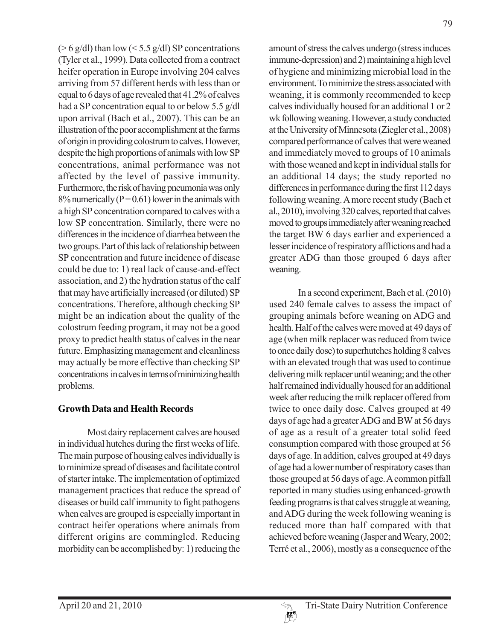( $> 6$  g/dl) than low ( $< 5.5$  g/dl) SP concentrations (Tyler et al., 1999). Data collected from a contract heifer operation in Europe involving 204 calves arriving from 57 different herds with less than or equal to 6 days of age revealed that 41.2% of calves had a SP concentration equal to or below 5.5 g/dl upon arrival (Bach et al., 2007). This can be an illustration of the poor accomplishment at the farms of origin in providing colostrum to calves. However, despite the high proportions of animals with low SP concentrations, animal performance was not affected by the level of passive immunity. Furthermore, the risk of having pneumonia was only  $8\%$  numerically (P = 0.61) lower in the animals with a high SP concentration compared to calves with a low SP concentration. Similarly, there were no differences in the incidence of diarrhea between the two groups. Part of this lack of relationship between SP concentration and future incidence of disease could be due to: 1) real lack of cause-and-effect association, and 2) the hydration status of the calf that may have artificially increased (or diluted) SP concentrations. Therefore, although checking SP might be an indication about the quality of the colostrum feeding program, it may not be a good proxy to predict health status of calves in the near future. Emphasizing management and cleanliness may actually be more effective than checking SP concentrations in calves in terms of minimizing health problems.

# **Growth Data and Health Records**

Most dairy replacement calves are housed in individual hutches during the first weeks of life. The main purpose of housing calves individually is to minimize spread of diseases and facilitate control of starter intake. The implementation of optimized management practices that reduce the spread of diseases or build calf immunity to fight pathogens when calves are grouped is especially important in contract heifer operations where animals from different origins are commingled. Reducing morbidity can be accomplished by: 1) reducing the amount of stress the calves undergo (stress induces immune-depression) and 2) maintaining a high level of hygiene and minimizing microbial load in the environment. To minimize the stress associated with weaning, it is commonly recommended to keep calves individually housed for an additional 1 or 2 wk following weaning. However, a study conducted at the University of Minnesota (Ziegler et al., 2008) compared performance of calves that were weaned and immediately moved to groups of 10 animals with those weaned and kept in individual stalls for an additional 14 days; the study reported no differences in performance during the first 112 days following weaning. A more recent study (Bach et al., 2010), involving 320 calves, reported that calves moved to groups immediately after weaning reached the target BW 6 days earlier and experienced a lesser incidence of respiratory afflictions and had a greater ADG than those grouped 6 days after weaning.

In a second experiment, Bach et al. (2010) used 240 female calves to assess the impact of grouping animals before weaning on ADG and health. Half of the calves were moved at 49 days of age (when milk replacer was reduced from twice to once daily dose) to superhutches holding 8 calves with an elevated trough that was used to continue delivering milk replacer until weaning; and the other half remained individually housed for an additional week after reducing the milk replacer offered from twice to once daily dose. Calves grouped at 49 days of age had a greater ADG and BW at 56 days of age as a result of a greater total solid feed consumption compared with those grouped at 56 days of age. In addition, calves grouped at 49 days of age had a lower number of respiratory cases than those grouped at 56 days of age. A common pitfall reported in many studies using enhanced-growth feeding programs is that calves struggle at weaning, and ADG during the week following weaning is reduced more than half compared with that achieved before weaning (Jasper and Weary, 2002; Terré et al., 2006), mostly as a consequence of the

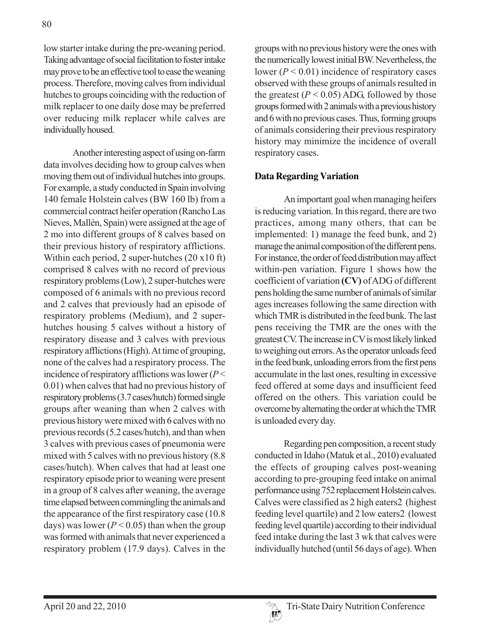low starter intake during the pre-weaning period. Taking advantage of social facilitation to foster intake may prove to be an effective tool to ease the weaning process. Therefore, moving calves from individual hutches to groups coinciding with the reduction of milk replacer to one daily dose may be preferred over reducing milk replacer while calves are individually housed.

Another interesting aspect of using on-farm data involves deciding how to group calves when moving them out of individual hutches into groups. For example, a study conducted in Spain involving 140 female Holstein calves (BW 160 lb) from a commercial contract heifer operation (Rancho Las Nieves, Mallén, Spain) were assigned at the age of 2 mo into different groups of 8 calves based on their previous history of respiratory afflictions. Within each period, 2 super-hutches (20 x10 ft) comprised 8 calves with no record of previous respiratory problems (Low), 2 super-hutches were composed of 6 animals with no previous record and 2 calves that previously had an episode of respiratory problems (Medium), and 2 superhutches housing 5 calves without a history of respiratory disease and 3 calves with previous respiratory afflictions (High). At time of grouping, none of the calves had a respiratory process. The incidence of respiratory afflictions was lower (*P* < 0.01) when calves that had no previous history of respiratory problems (3.7 cases/hutch) formed single groups after weaning than when 2 calves with previous history were mixed with 6 calves with no previous records (5.2 cases/hutch), and than when 3 calves with previous cases of pneumonia were mixed with 5 calves with no previous history (8.8 cases/hutch). When calves that had at least one respiratory episode prior to weaning were present in a group of 8 calves after weaning, the average time elapsed between commingling the animals and the appearance of the first respiratory case (10.8 days) was lower ( $P < 0.05$ ) than when the group was formed with animals that never experienced a respiratory problem (17.9 days). Calves in the

groups with no previous history were the ones with the numerically lowest initial BW. Nevertheless, the lower  $(P < 0.01)$  incidence of respiratory cases observed with these groups of animals resulted in the greatest  $(P < 0.05)$  ADG, followed by those groups formed with 2 animals with a previous history and 6 with no previous cases. Thus, forming groups of animals considering their previous respiratory history may minimize the incidence of overall respiratory cases.

### **Data Regarding Variation**

An important goal when managing heifers is reducing variation. In this regard, there are two practices, among many others, that can be implemented: 1) manage the feed bunk, and 2) manage the animal composition of the different pens. For instance, the order of feed distribution may affect within-pen variation. Figure 1 shows how the coefficient of variation **(CV)** of ADG of different pens holding the same number of animals of similar ages increases following the same direction with which TMR is distributed in the feed bunk. The last pens receiving the TMR are the ones with the greatest CV. The increase in CV is most likely linked to weighing out errors. As the operator unloads feed in the feed bunk, unloading errors from the first pens accumulate in the last ones, resulting in excessive feed offered at some days and insufficient feed offered on the others. This variation could be overcome by alternating the order at which the TMR is unloaded every day.

Regarding pen composition, a recent study conducted in Idaho (Matuk et al., 2010) evaluated the effects of grouping calves post-weaning according to pre-grouping feed intake on animal performance using 752 replacement Holstein calves. Calves were classified as 2 high eaters2 (highest feeding level quartile) and 2 low eaters2 (lowest feeding level quartile) according to their individual feed intake during the last 3 wk that calves were individually hutched (until 56 days of age). When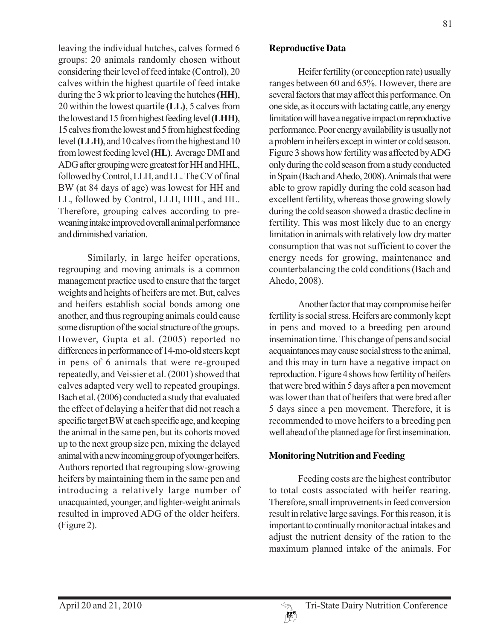leaving the individual hutches, calves formed 6 groups: 20 animals randomly chosen without considering their level of feed intake (Control), 20 calves within the highest quartile of feed intake during the 3 wk prior to leaving the hutches **(HH)**, 20 within the lowest quartile **(LL)**, 5 calves from the lowest and 15 from highest feeding level **(LHH)**, 15 calves from the lowest and 5 from highest feeding level **(LLH)**, and 10 calves from the highest and 10 from lowest feeding level **(HL)**. Average DMI and ADG after grouping were greatest for HH and HHL, followed by Control, LLH, and LL. The CV of final BW (at 84 days of age) was lowest for HH and LL, followed by Control, LLH, HHL, and HL. Therefore, grouping calves according to preweaning intake improved overall animal performance and diminished variation.

Similarly, in large heifer operations, regrouping and moving animals is a common management practice used to ensure that the target weights and heights of heifers are met. But, calves and heifers establish social bonds among one another, and thus regrouping animals could cause some disruption of the social structure of the groups. However, Gupta et al. (2005) reported no differences in performance of 14-mo-old steers kept in pens of 6 animals that were re-grouped repeatedly, and Veissier et al. (2001) showed that calves adapted very well to repeated groupings. Bach et al. (2006) conducted a study that evaluated the effect of delaying a heifer that did not reach a specific target BW at each specific age, and keeping the animal in the same pen, but its cohorts moved up to the next group size pen, mixing the delayed animal with a new incoming group of younger heifers. Authors reported that regrouping slow-growing heifers by maintaining them in the same pen and introducing a relatively large number of unacquainted, younger, and lighter-weight animals resulted in improved ADG of the older heifers. (Figure 2).

## **Reproductive Data**

Heifer fertility (or conception rate) usually ranges between 60 and 65%. However, there are several factors that may affect this performance. On one side, as it occurs with lactating cattle, any energy limitation will have a negative impact on reproductive performance. Poor energy availability is usually not a problem in heifers except in winter or cold season. Figure 3 shows how fertility was affected by ADG only during the cold season from a study conducted in Spain (Bach and Ahedo, 2008). Animals that were able to grow rapidly during the cold season had excellent fertility, whereas those growing slowly during the cold season showed a drastic decline in fertility. This was most likely due to an energy limitation in animals with relatively low dry matter consumption that was not sufficient to cover the energy needs for growing, maintenance and counterbalancing the cold conditions (Bach and Ahedo, 2008).

Another factor that may compromise heifer fertility is social stress. Heifers are commonly kept in pens and moved to a breeding pen around insemination time. This change of pens and social acquaintances may cause social stress to the animal, and this may in turn have a negative impact on reproduction. Figure 4 shows how fertility of heifers that were bred within 5 days after a pen movement was lower than that of heifers that were bred after 5 days since a pen movement. Therefore, it is recommended to move heifers to a breeding pen well ahead of the planned age for first insemination.

# **Monitoring Nutrition and Feeding**

Feeding costs are the highest contributor to total costs associated with heifer rearing. Therefore, small improvements in feed conversion result in relative large savings. For this reason, it is important to continually monitor actual intakes and adjust the nutrient density of the ration to the maximum planned intake of the animals. For

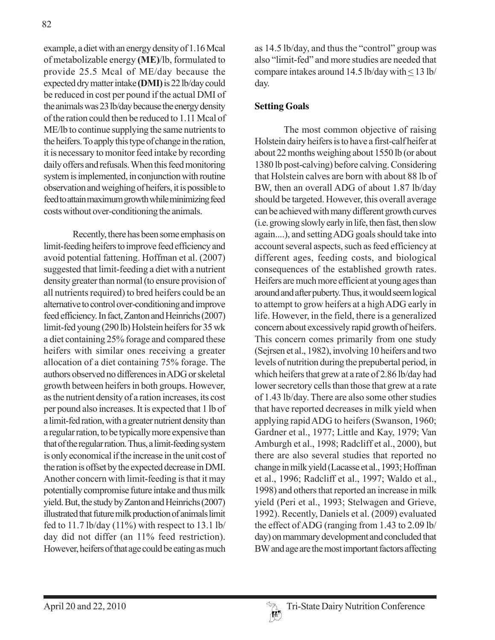example, a diet with an energy density of 1.16 Mcal of metabolizable energy **(ME)**/lb, formulated to provide 25.5 Mcal of ME/day because the expected dry matter intake **(DMI)** is 22 lb/day could be reduced in cost per pound if the actual DMI of the animals was 23 lb/day because the energy density of the ration could then be reduced to 1.11 Mcal of ME/lb to continue supplying the same nutrients to the heifers. To apply this type of change in the ration, it is necessary to monitor feed intake by recording daily offers and refusals. When this feed monitoring system is implemented, in conjunction with routine observation and weighing of heifers, it is possible to feed to attain maximum growth while minimizing feed costs without over-conditioning the animals.

Recently, there has been some emphasis on limit-feeding heifers to improve feed efficiency and avoid potential fattening. Hoffman et al. (2007) suggested that limit-feeding a diet with a nutrient density greater than normal (to ensure provision of all nutrients required) to bred heifers could be an alternative to control over-conditioning and improve feed efficiency. In fact, Zanton and Heinrichs (2007) limit-fed young (290 lb) Holstein heifers for 35 wk a diet containing 25% forage and compared these heifers with similar ones receiving a greater allocation of a diet containing 75% forage. The authors observed no differences in ADG or skeletal growth between heifers in both groups. However, as the nutrient density of a ration increases, its cost per pound also increases. It is expected that 1 lb of a limit-fed ration, with a greater nutrient density than a regular ration, to be typically more expensive than that of the regular ration. Thus, a limit-feeding system is only economical if the increase in the unit cost of the ration is offset by the expected decrease in DMI. Another concern with limit-feeding is that it may potentially compromise future intake and thus milk yield. But, the study by Zanton and Heinrichs (2007) illustrated that future milk production of animals limit fed to 11.7 lb/day  $(11\%)$  with respect to 13.1 lb/ day did not differ (an 11% feed restriction). However, heifers of that age could be eating as much

as 14.5 lb/day, and thus the "control" group was also "limit-fed" and more studies are needed that compare intakes around 14.5 lb/day with < 13 lb/ day.

## **Setting Goals**

The most common objective of raising Holstein dairy heifers is to have a first-calf heifer at about 22 months weighing about 1550 lb (or about 1380 lb post-calving) before calving. Considering that Holstein calves are born with about 88 lb of BW, then an overall ADG of about 1.87 lb/day should be targeted. However, this overall average can be achieved with many different growth curves (i.e. growing slowly early in life, then fast, then slow again....), and setting ADG goals should take into account several aspects, such as feed efficiency at different ages, feeding costs, and biological consequences of the established growth rates. Heifers are much more efficient at young ages than around and after puberty. Thus, it would seem logical to attempt to grow heifers at a high ADG early in life. However, in the field, there is a generalized concern about excessively rapid growth of heifers. This concern comes primarily from one study (Sejrsen et al., 1982), involving 10 heifers and two levels of nutrition during the prepubertal period, in which heifers that grew at a rate of 2.86 lb/day had lower secretory cells than those that grew at a rate of 1.43 lb/day. There are also some other studies that have reported decreases in milk yield when applying rapid ADG to heifers (Swanson, 1960; Gardner et al., 1977; Little and Kay, 1979; Van Amburgh et al., 1998; Radcliff et al., 2000), but there are also several studies that reported no change in milk yield (Lacasse et al., 1993; Hoffman et al., 1996; Radcliff et al., 1997; Waldo et al., 1998) and others that reported an increase in milk yield (Peri et al., 1993; Stelwagen and Grieve, 1992). Recently, Daniels et al. (2009) evaluated the effect of ADG (ranging from 1.43 to 2.09 lb/ day) on mammary development and concluded that BW and age are the most important factors affecting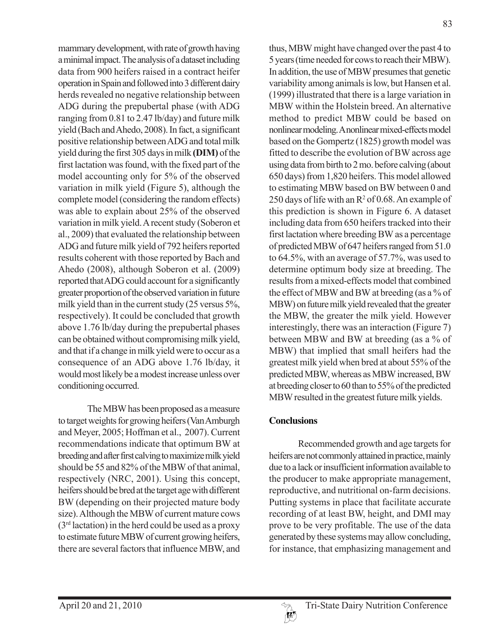mammary development, with rate of growth having a minimal impact. The analysis of a dataset including data from 900 heifers raised in a contract heifer operation in Spain and followed into 3 different dairy herds revealed no negative relationship between ADG during the prepubertal phase (with ADG ranging from 0.81 to 2.47 lb/day) and future milk yield (Bach and Ahedo, 2008). In fact, a significant positive relationship between ADG and total milk yield during the first 305 days in milk **(DIM)** of the first lactation was found, with the fixed part of the model accounting only for 5% of the observed variation in milk yield (Figure 5), although the complete model (considering the random effects) was able to explain about 25% of the observed variation in milk yield. A recent study (Soberon et al., 2009) that evaluated the relationship between ADG and future milk yield of 792 heifers reported results coherent with those reported by Bach and Ahedo (2008), although Soberon et al. (2009) reported that ADG could account for a significantly greater proportion of the observed variation in future milk yield than in the current study (25 versus 5%, respectively). It could be concluded that growth above 1.76 lb/day during the prepubertal phases can be obtained without compromising milk yield, and that if a change in milk yield were to occur as a consequence of an ADG above 1.76 lb/day, it would most likely be a modest increase unless over conditioning occurred.

The MBW has been proposed as a measure to target weights for growing heifers (Van Amburgh and Meyer, 2005; Hoffman et al., 2007). Current recommendations indicate that optimum BW at breeding and after first calving to maximize milk yield should be 55 and 82% of the MBW of that animal, respectively (NRC, 2001). Using this concept, heifers should be bred at the target age with different BW (depending on their projected mature body size). Although the MBW of current mature cows  $(3<sup>rd</sup> lactation)$  in the herd could be used as a proxy to estimate future MBW of current growing heifers, there are several factors that influence MBW, and

thus, MBW might have changed over the past 4 to 5 years (time needed for cows to reach their MBW). In addition, the use of MBW presumes that genetic variability among animals is low, but Hansen et al. (1999) illustrated that there is a large variation in MBW within the Holstein breed. An alternative method to predict MBW could be based on nonlinear modeling. A nonlinear mixed-effects model based on the Gompertz (1825) growth model was fitted to describe the evolution of BW across age using data from birth to 2 mo. before calving (about 650 days) from 1,820 heifers. This model allowed to estimating MBW based on BW between 0 and 250 days of life with an  $R^2$  of 0.68. An example of this prediction is shown in Figure 6. A dataset including data from 650 heifers tracked into their first lactation where breeding BW as a percentage of predicted MBW of 647 heifers ranged from 51.0 to 64.5%, with an average of 57.7%, was used to determine optimum body size at breeding. The results from a mixed-effects model that combined the effect of MBW and BW at breeding (as a % of MBW) on future milk yield revealed that the greater the MBW, the greater the milk yield. However interestingly, there was an interaction (Figure 7) between MBW and BW at breeding (as a % of MBW) that implied that small heifers had the greatest milk yield when bred at about 55% of the predicted MBW, whereas as MBW increased, BW at breeding closer to 60 than to 55% of the predicted MBW resulted in the greatest future milk yields.

# **Conclusions**

Recommended growth and age targets for heifers are not commonly attained in practice, mainly due to a lack or insufficient information available to the producer to make appropriate management, reproductive, and nutritional on-farm decisions. Putting systems in place that facilitate accurate recording of at least BW, height, and DMI may prove to be very profitable. The use of the data generated by these systems may allow concluding, for instance, that emphasizing management and

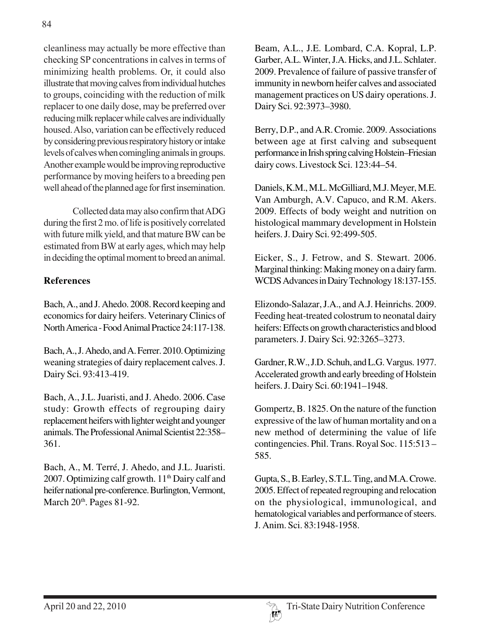cleanliness may actually be more effective than checking SP concentrations in calves in terms of minimizing health problems. Or, it could also illustrate that moving calves from individual hutches to groups, coinciding with the reduction of milk replacer to one daily dose, may be preferred over reducing milk replacer while calves are individually housed. Also, variation can be effectively reduced by considering previous respiratory history or intake levels of calves when comingling animals in groups. Another example would be improving reproductive performance by moving heifers to a breeding pen well ahead of the planned age for first insemination.

Collected data may also confirm that ADG during the first 2 mo. of life is positively correlated with future milk yield, and that mature BW can be estimated from BW at early ages, which may help in deciding the optimal moment to breed an animal.

# **References**

Bach, A., and J. Ahedo. 2008. Record keeping and economics for dairy heifers. Veterinary Clinics of North America - Food Animal Practice 24:117-138.

Bach, A., J. Ahedo, and A. Ferrer. 2010. Optimizing weaning strategies of dairy replacement calves. J. Dairy Sci. 93:413-419.

Bach, A., J.L. Juaristi, and J. Ahedo. 2006. Case study: Growth effects of regrouping dairy replacement heifers with lighter weight and younger animals. The Professional Animal Scientist 22:358– 361.

Bach, A., M. Terré, J. Ahedo, and J.L. Juaristi. 2007. Optimizing calf growth.  $11<sup>th</sup>$  Dairy calf and heifer national pre-conference. Burlington, Vermont, March 20<sup>th</sup>. Pages 81-92.

Beam, A.L., J.E. Lombard, C.A. Kopral, L.P. Garber, A.L. Winter, J.A. Hicks, and J.L. Schlater. 2009. Prevalence of failure of passive transfer of immunity in newborn heifer calves and associated management practices on US dairy operations. J. Dairy Sci. 92:3973–3980.

Berry, D.P., and A.R. Cromie. 2009. Associations between age at first calving and subsequent performance in Irish spring calving Holstein–Friesian dairy cows. Livestock Sci. 123:44–54.

Daniels, K.M., M.L. McGilliard, M.J. Meyer, M.E. Van Amburgh, A.V. Capuco, and R.M. Akers. 2009. Effects of body weight and nutrition on histological mammary development in Holstein heifers. J. Dairy Sci. 92:499-505.

Eicker, S., J. Fetrow, and S. Stewart. 2006. Marginal thinking: Making money on a dairy farm. WCDS Advances in Dairy Technology 18:137-155.

Elizondo-Salazar, J.A., and A.J. Heinrichs. 2009. Feeding heat-treated colostrum to neonatal dairy heifers: Effects on growth characteristics and blood parameters. J. Dairy Sci. 92:3265–3273.

Gardner, R.W., J.D. Schuh, and L.G. Vargus. 1977. Accelerated growth and early breeding of Holstein heifers. J. Dairy Sci. 60:1941–1948.

Gompertz, B. 1825. On the nature of the function expressive of the law of human mortality and on a new method of determining the value of life contingencies. Phil. Trans. Royal Soc. 115:513 – 585.

Gupta, S., B. Earley, S.T.L. Ting, and M.A. Crowe. 2005. Effect of repeated regrouping and relocation on the physiological, immunological, and hematological variables and performance of steers. J. Anim. Sci. 83:1948-1958.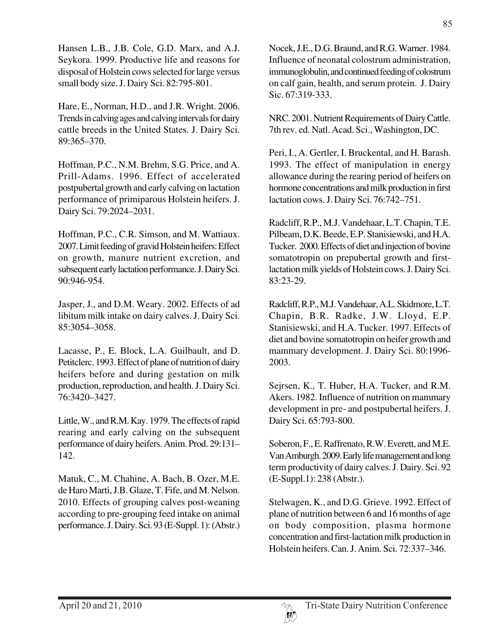Hansen L.B., J.B. Cole, G.D. Marx, and A.J. Seykora. 1999. Productive life and reasons for disposal of Holstein cows selected for large versus small body size. J. Dairy Sci. 82:795-801.

Hare, E., Norman, H.D., and J.R. Wright. 2006. Trends in calving ages and calving intervals for dairy cattle breeds in the United States. J. Dairy Sci. 89:365–370.

Hoffman, P.C., N.M. Brehm, S.G. Price, and A. Prill-Adams. 1996. Effect of accelerated postpubertal growth and early calving on lactation performance of primiparous Holstein heifers. J. Dairy Sci. 79:2024–2031.

Hoffman, P.C., C.R. Simson, and M. Wattiaux. 2007. Limit feeding of gravid Holstein heifers: Effect on growth, manure nutrient excretion, and subsequent early lactation performance. J. Dairy Sci. 90:946-954.

Jasper, J., and D.M. Weary. 2002. Effects of ad libitum milk intake on dairy calves. J. Dairy Sci. 85:3054–3058.

Lacasse, P., E. Block, L.A. Guilbault, and D. Petitclerc. 1993. Effect of plane of nutrition of dairy heifers before and during gestation on milk production, reproduction, and health. J. Dairy Sci. 76:3420–3427.

Little, W., and R.M. Kay. 1979. The effects of rapid rearing and early calving on the subsequent performance of dairy heifers. Anim. Prod. 29:131– 142.

Matuk, C., M. Chahine, A. Bach, B. Ozer, M.E. de Haro Marti, J.B. Glaze, T. Fife, and M. Nelson. 2010. Effects of grouping calves post-weaning according to pre-grouping feed intake on animal performance. J. Dairy. Sci. 93 (E-Suppl. 1): (Abstr.)

Nocek, J.E., D.G. Braund, and R.G. Warner. 1984. Influence of neonatal colostrum administration, immunoglobulin, and continued feeding of colostrum on calf gain, health, and serum protein. J. Dairy Sic. 67:319-333.

NRC. 2001. Nutrient Requirements of Dairy Cattle. 7th rev. ed. Natl. Acad. Sci., Washington, DC.

Peri, I., A. Gertler, I. Bruckental, and H. Barash. 1993. The effect of manipulation in energy allowance during the rearing period of heifers on hormone concentrations and milk production in first lactation cows. J. Dairy Sci. 76:742–751.

Radcliff, R.P., M.J. Vandehaar, L.T. Chapin, T.E. Pilbeam, D.K. Beede, E.P. Stanisiewski, and H.A. Tucker. 2000. Effects of diet and injection of bovine somatotropin on prepubertal growth and firstlactation milk yields of Holstein cows. J. Dairy Sci. 83:23-29.

Radcliff, R.P., M.J. Vandehaar, A.L. Skidmore, L.T. Chapin, B.R. Radke, J.W. Lloyd, E.P. Stanisiewski, and H.A. Tucker. 1997. Effects of diet and bovine somatotropin on heifer growth and mammary development. J. Dairy Sci. 80:1996- 2003.

Sejrsen, K., T. Huber, H.A. Tucker, and R.M. Akers. 1982. Influence of nutrition on mammary development in pre- and postpubertal heifers. J. Dairy Sci. 65:793-800.

Soberon, F., E. Raffrenato, R.W. Everett, and M.E. Van Amburgh. 2009. Early life management and long term productivity of dairy calves. J. Dairy. Sci. 92 (E-Suppl.1): 238 (Abstr.).

Stelwagen, K., and D.G. Grieve. 1992. Effect of plane of nutrition between 6 and 16 months of age on body composition, plasma hormone concentration and first-lactation milk production in Holstein heifers. Can. J. Anim. Sci. 72:337–346.

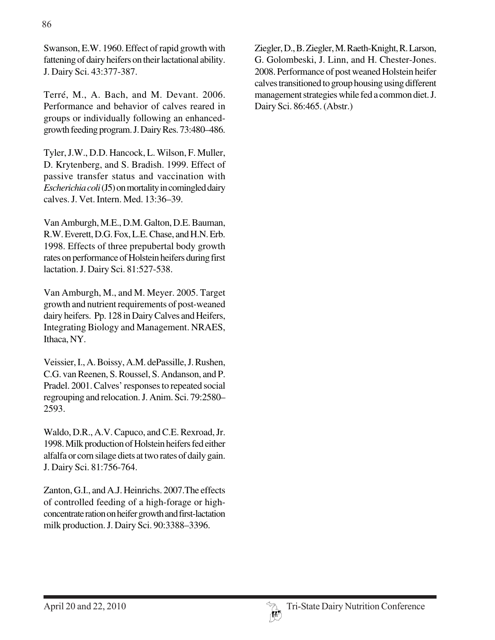Swanson, E.W. 1960. Effect of rapid growth with fattening of dairy heifers on their lactational ability. J. Dairy Sci. 43:377-387.

Terré, M., A. Bach, and M. Devant. 2006. Performance and behavior of calves reared in groups or individually following an enhancedgrowth feeding program. J. Dairy Res. 73:480–486.

Tyler, J.W., D.D. Hancock, L. Wilson, F. Muller, D. Krytenberg, and S. Bradish. 1999. Effect of passive transfer status and vaccination with *Escherichia coli* (J5) on mortality in comingled dairy calves. J. Vet. Intern. Med. 13:36–39.

Van Amburgh, M.E., D.M. Galton, D.E. Bauman, R.W. Everett, D.G. Fox, L.E. Chase, and H.N. Erb. 1998. Effects of three prepubertal body growth rates on performance of Holstein heifers during first lactation. J. Dairy Sci. 81:527-538.

Van Amburgh, M., and M. Meyer. 2005. Target growth and nutrient requirements of post-weaned dairy heifers. Pp. 128 in Dairy Calves and Heifers, Integrating Biology and Management. NRAES, Ithaca, NY.

Veissier, I., A. Boissy, A.M. dePassille, J. Rushen, C.G. van Reenen, S. Roussel, S. Andanson, and P. Pradel. 2001. Calves' responses to repeated social regrouping and relocation. J. Anim. Sci. 79:2580– 2593.

Waldo, D.R., A.V. Capuco, and C.E. Rexroad, Jr. 1998. Milk production of Holstein heifers fed either alfalfa or corn silage diets at two rates of daily gain. J. Dairy Sci. 81:756-764.

Zanton, G.I., and A.J. Heinrichs. 2007.The effects of controlled feeding of a high-forage or highconcentrate ration on heifer growth and first-lactation milk production. J. Dairy Sci. 90:3388–3396.

Ziegler, D., B. Ziegler, M. Raeth-Knight, R. Larson, G. Golombeski, J. Linn, and H. Chester-Jones. 2008. Performance of post weaned Holstein heifer calves transitioned to group housing using different management strategies while fed a common diet. J. Dairy Sci. 86:465. (Abstr.)

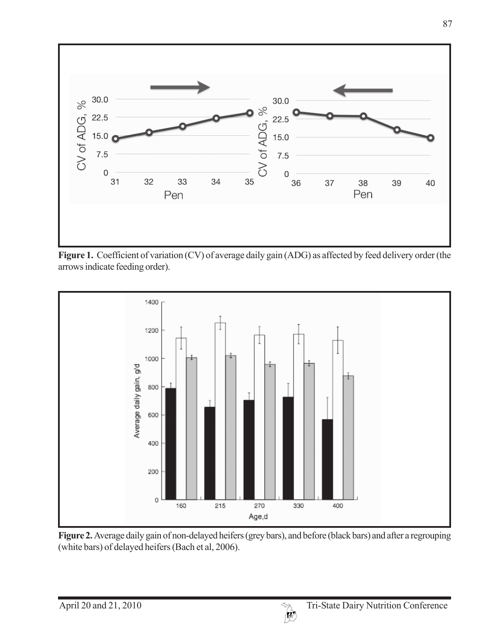

Figure 1. Coefficient of variation (CV) of average daily gain (ADG) as affected by feed delivery order (the arrows indicate feeding order).



**Figure 2.** Average daily gain of non-delayed heifers (grey bars), and before (black bars) and after a regrouping (white bars) of delayed heifers (Bach et al, 2006).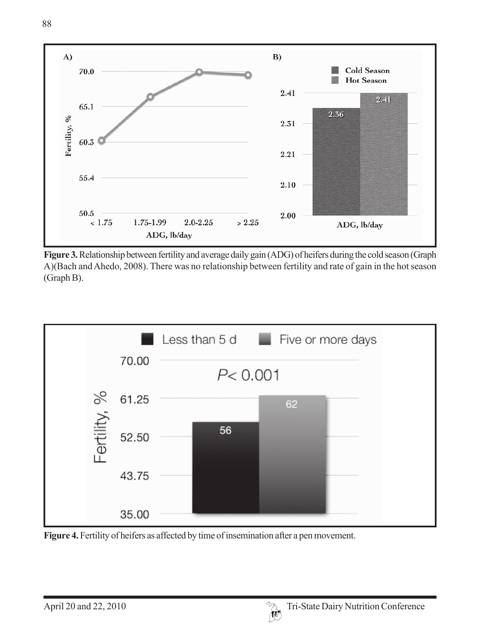

**Figure 3.** Relationship between fertility and average daily gain (ADG) of heifers during the cold season (Graph A)(Bach and Ahedo, 2008). There was no relationship between fertility and rate of gain in the hot season (Graph B).



**Figure 4.** Fertility of heifers as affected by time of insemination after a pen movement.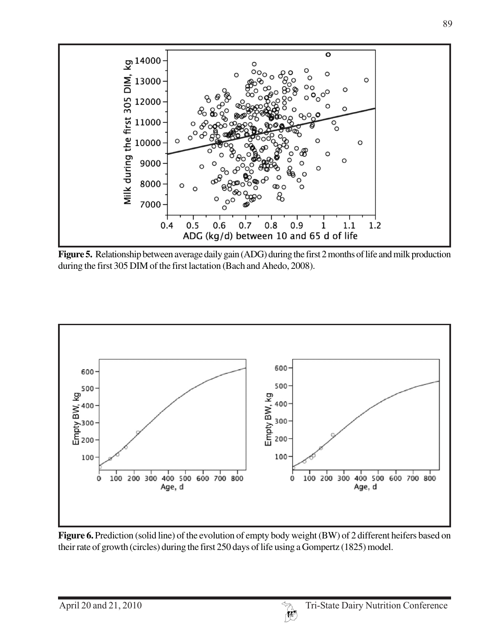

**Figure 5.** Relationship between average daily gain (ADG) during the first 2 months of life and milk production during the first 305 DIM of the first lactation (Bach and Ahedo, 2008).



Figure 6. Prediction (solid line) of the evolution of empty body weight (BW) of 2 different heifers based on their rate of growth (circles) during the first 250 days of life using a Gompertz (1825) model.